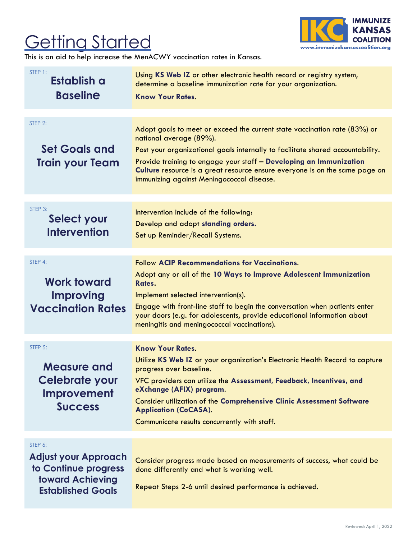## **Getting Started**



This is an aid to help increase the MenACWY vaccination rates in Kansas.

| STEP 1:<br>Establish a<br><b>Baseline</b>                                                                             | Using KS Web IZ or other electronic health record or registry system,<br>determine a baseline immunization rate for your organization.<br><b>Know Your Rates.</b>                                                                                                                                                                                                                                    |
|-----------------------------------------------------------------------------------------------------------------------|------------------------------------------------------------------------------------------------------------------------------------------------------------------------------------------------------------------------------------------------------------------------------------------------------------------------------------------------------------------------------------------------------|
| STEP 2:<br><b>Set Goals and</b><br><b>Train your Team</b>                                                             | Adopt goals to meet or exceed the current state vaccination rate $(83%)$ or<br>national average (89%).<br>Post your organizational goals internally to facilitate shared accountability.<br>Provide training to engage your staff - Developing an Immunization<br>Culture resource is a great resource ensure everyone is on the same page on<br>immunizing against Meningococcal disease.           |
| STEP 3:<br>Select your<br><b>Intervention</b>                                                                         | Intervention include of the following:<br>Develop and adopt standing orders.<br>Set up Reminder/Recall Systems.                                                                                                                                                                                                                                                                                      |
| STEP 4:<br><b>Work toward</b><br><b>Improving</b><br><b>Vaccination Rates</b>                                         | <b>Follow ACIP Recommendations for Vaccinations.</b><br>Adopt any or all of the 10 Ways to Improve Adolescent Immunization<br>Rates.<br>Implement selected intervention(s).<br>Engage with front-line staff to begin the conversation when patients enter<br>your doors (e.g. for adolescents, provide educational information about<br>meningitis and meningococcal vaccinations).                  |
| STEP 5:<br><b>Measure and</b><br>Celebrate your<br>Improvement<br><b>Success</b>                                      | <b>Know Your Rates.</b><br>Utilize KS Web IZ or your organization's Electronic Health Record to capture<br>progress over baseline.<br>VFC providers can utilize the Assessment, Feedback, Incentives, and<br>eXchange (AFIX) program.<br><b>Consider utilization of the Comprehensive Clinic Assessment Software</b><br><b>Application (CoCASA).</b><br>Communicate results concurrently with staff. |
| STEP 6:<br><b>Adjust your Approach</b><br>to Continue progress<br><b>toward Achieving</b><br><b>Established Goals</b> | Consider progress made based on measurements of success, what could be<br>done differently and what is working well.<br>Repeat Steps 2-6 until desired performance is achieved.                                                                                                                                                                                                                      |